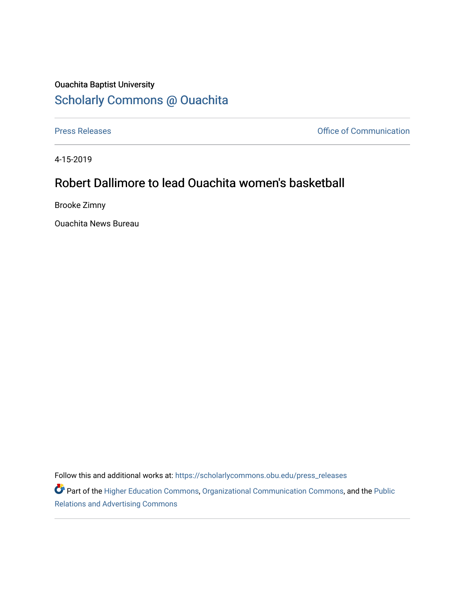## Ouachita Baptist University [Scholarly Commons @ Ouachita](https://scholarlycommons.obu.edu/)

[Press Releases](https://scholarlycommons.obu.edu/press_releases) **Press Releases Communication** 

4-15-2019

# Robert Dallimore to lead Ouachita women's basketball

Brooke Zimny

Ouachita News Bureau

Follow this and additional works at: [https://scholarlycommons.obu.edu/press\\_releases](https://scholarlycommons.obu.edu/press_releases?utm_source=scholarlycommons.obu.edu%2Fpress_releases%2F810&utm_medium=PDF&utm_campaign=PDFCoverPages)

Part of the [Higher Education Commons,](http://network.bepress.com/hgg/discipline/1245?utm_source=scholarlycommons.obu.edu%2Fpress_releases%2F810&utm_medium=PDF&utm_campaign=PDFCoverPages) [Organizational Communication Commons,](http://network.bepress.com/hgg/discipline/335?utm_source=scholarlycommons.obu.edu%2Fpress_releases%2F810&utm_medium=PDF&utm_campaign=PDFCoverPages) and the [Public](http://network.bepress.com/hgg/discipline/336?utm_source=scholarlycommons.obu.edu%2Fpress_releases%2F810&utm_medium=PDF&utm_campaign=PDFCoverPages) [Relations and Advertising Commons](http://network.bepress.com/hgg/discipline/336?utm_source=scholarlycommons.obu.edu%2Fpress_releases%2F810&utm_medium=PDF&utm_campaign=PDFCoverPages)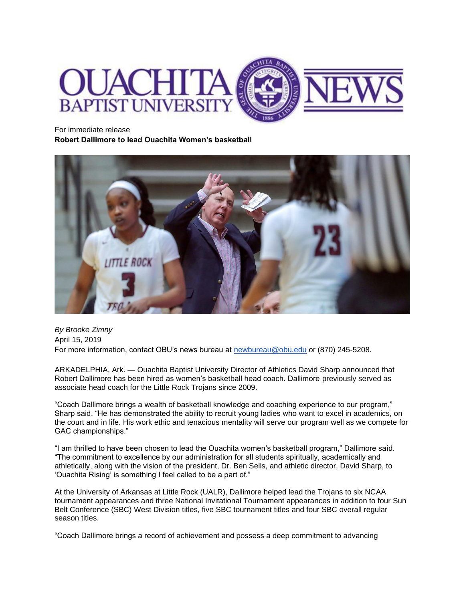

For immediate release

**Robert Dallimore to lead Ouachita Women's basketball**



*By Brooke Zimny* April 15, 2019 For more information, contact OBU's news bureau at [newbureau@obu.edu](mailto:newbureau@obu.edu) or (870) 245-5208.

ARKADELPHIA, Ark. — Ouachita Baptist University Director of Athletics David Sharp announced that Robert Dallimore has been hired as women's basketball head coach. Dallimore previously served as associate head coach for the Little Rock Trojans since 2009.

"Coach Dallimore brings a wealth of basketball knowledge and coaching experience to our program," Sharp said. "He has demonstrated the ability to recruit young ladies who want to excel in academics, on the court and in life. His work ethic and tenacious mentality will serve our program well as we compete for GAC championships."

"I am thrilled to have been chosen to lead the Ouachita women's basketball program," Dallimore said. "The commitment to excellence by our administration for all students spiritually, academically and athletically, along with the vision of the president, Dr. Ben Sells, and athletic director, David Sharp, to 'Ouachita Rising' is something I feel called to be a part of."

At the University of Arkansas at Little Rock (UALR), Dallimore helped lead the Trojans to six NCAA tournament appearances and three National Invitational Tournament appearances in addition to four Sun Belt Conference (SBC) West Division titles, five SBC tournament titles and four SBC overall regular season titles.

"Coach Dallimore brings a record of achievement and possess a deep commitment to advancing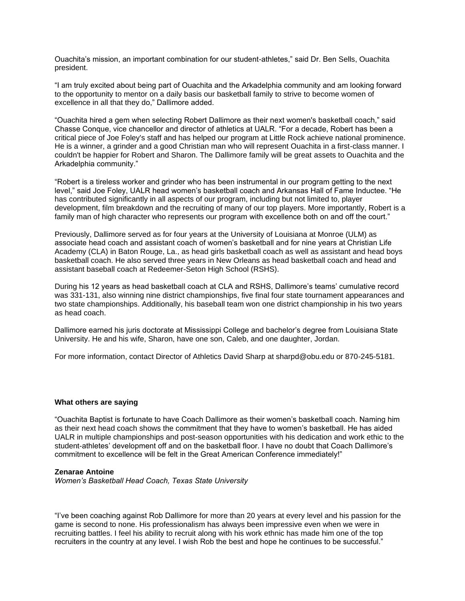Ouachita's mission, an important combination for our student-athletes," said Dr. Ben Sells, Ouachita president.

"I am truly excited about being part of Ouachita and the Arkadelphia community and am looking forward to the opportunity to mentor on a daily basis our basketball family to strive to become women of excellence in all that they do," Dallimore added.

"Ouachita hired a gem when selecting Robert Dallimore as their next women's basketball coach," said Chasse Conque, vice chancellor and director of athletics at UALR. "For a decade, Robert has been a critical piece of Joe Foley's staff and has helped our program at Little Rock achieve national prominence. He is a winner, a grinder and a good Christian man who will represent Ouachita in a first-class manner. I couldn't be happier for Robert and Sharon. The Dallimore family will be great assets to Ouachita and the Arkadelphia community."

"Robert is a tireless worker and grinder who has been instrumental in our program getting to the next level," said Joe Foley, UALR head women's basketball coach and Arkansas Hall of Fame Inductee. "He has contributed significantly in all aspects of our program, including but not limited to, player development, film breakdown and the recruiting of many of our top players. More importantly, Robert is a family man of high character who represents our program with excellence both on and off the court."

Previously, Dallimore served as for four years at the University of Louisiana at Monroe (ULM) as associate head coach and assistant coach of women's basketball and for nine years at Christian Life Academy (CLA) in Baton Rouge, La., as head girls basketball coach as well as assistant and head boys basketball coach. He also served three years in New Orleans as head basketball coach and head and assistant baseball coach at Redeemer-Seton High School (RSHS).

During his 12 years as head basketball coach at CLA and RSHS, Dallimore's teams' cumulative record was 331-131, also winning nine district championships, five final four state tournament appearances and two state championships. Additionally, his baseball team won one district championship in his two years as head coach.

Dallimore earned his juris doctorate at Mississippi College and bachelor's degree from Louisiana State University. He and his wife, Sharon, have one son, Caleb, and one daughter, Jordan.

For more information, contact Director of Athletics David Sharp at sharpd@obu.edu or 870-245-5181.

#### **What others are saying**

"Ouachita Baptist is fortunate to have Coach Dallimore as their women's basketball coach. Naming him as their next head coach shows the commitment that they have to women's basketball. He has aided UALR in multiple championships and post-season opportunities with his dedication and work ethic to the student-athletes' development off and on the basketball floor. I have no doubt that Coach Dallimore's commitment to excellence will be felt in the Great American Conference immediately!"

#### **Zenarae Antoine**

*Women's Basketball Head Coach, Texas State University*

"I've been coaching against Rob Dallimore for more than 20 years at every level and his passion for the game is second to none. His professionalism has always been impressive even when we were in recruiting battles. I feel his ability to recruit along with his work ethnic has made him one of the top recruiters in the country at any level. I wish Rob the best and hope he continues to be successful."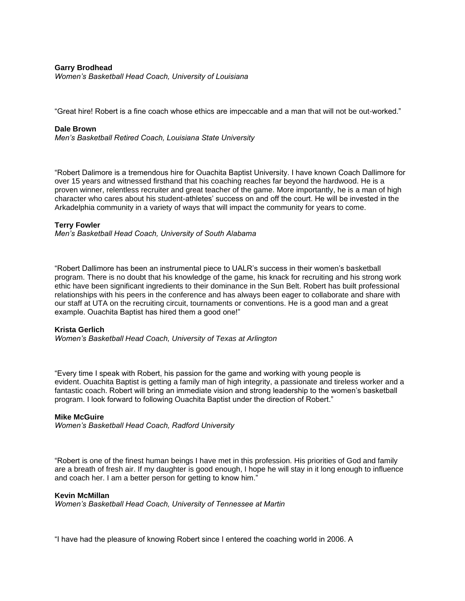#### **Garry Brodhead** *Women's Basketball Head Coach, University of Louisiana*

"Great hire! Robert is a fine coach whose ethics are impeccable and a man that will not be out-worked."

#### **Dale Brown**

*Men's Basketball Retired Coach, Louisiana State University*

"Robert Dalimore is a tremendous hire for Ouachita Baptist University. I have known Coach Dallimore for over 15 years and witnessed firsthand that his coaching reaches far beyond the hardwood. He is a proven winner, relentless recruiter and great teacher of the game. More importantly, he is a man of high character who cares about his student-athletes' success on and off the court. He will be invested in the Arkadelphia community in a variety of ways that will impact the community for years to come.

#### **Terry Fowler**

*Men's Basketball Head Coach, University of South Alabama*

"Robert Dallimore has been an instrumental piece to UALR's success in their women's basketball program. There is no doubt that his knowledge of the game, his knack for recruiting and his strong work ethic have been significant ingredients to their dominance in the Sun Belt. Robert has built professional relationships with his peers in the conference and has always been eager to collaborate and share with our staff at UTA on the recruiting circuit, tournaments or conventions. He is a good man and a great example. Ouachita Baptist has hired them a good one!"

#### **Krista Gerlich**

*Women's Basketball Head Coach, University of Texas at Arlington*

"Every time I speak with Robert, his passion for the game and working with young people is evident. Ouachita Baptist is getting a family man of high integrity, a passionate and tireless worker and a fantastic coach. Robert will bring an immediate vision and strong leadership to the women's basketball program. I look forward to following Ouachita Baptist under the direction of Robert."

#### **Mike McGuire**

*Women's Basketball Head Coach, Radford University*

"Robert is one of the finest human beings I have met in this profession. His priorities of God and family are a breath of fresh air. If my daughter is good enough, I hope he will stay in it long enough to influence and coach her. I am a better person for getting to know him."

#### **Kevin McMillan**

*Women's Basketball Head Coach, University of Tennessee at Martin*

"I have had the pleasure of knowing Robert since I entered the coaching world in 2006. A